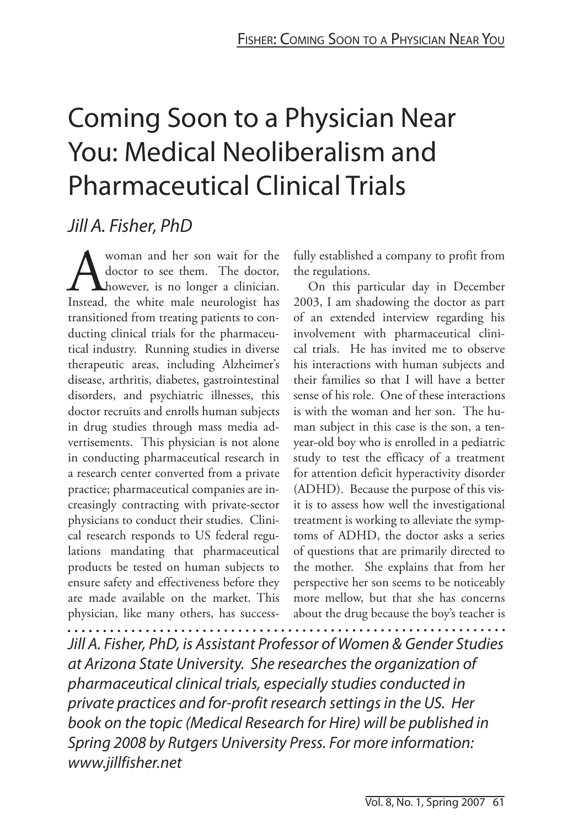# Coming Soon to a Physician Near You: Medical Neoliberalism and Pharmaceutical Clinical Trials

# Jill A. Fisher, PhD

**A** woman and her son wait for the doctor, doctor to see them. The doctor, Instead, the white male neurologist has doctor to see them. The doctor, however, is no longer a clinician. Instead, the white male neurologist has transitioned from treating patients to conducting clinical trials for the pharmaceutical industry. Running studies in diverse therapeutic areas, including Alzheimer's disease, arthritis, diabetes, gastrointestinal disorders, and psychiatric illnesses, this doctor recruits and enrolls human subjects in drug studies through mass media advertisements. This physician is not alone in conducting pharmaceutical research in a research center converted from a private practice; pharmaceutical companies are increasingly contracting with private-sector physicians to conduct their studies. Clinical research responds to US federal regulations mandating that pharmaceutical products be tested on human subjects to ensure safety and effectiveness before they are made available on the market. This physician, like many others, has success-

fully established a company to profit from the regulations.

On this particular day in December 2003, I am shadowing the doctor as part of an extended interview regarding his involvement with pharmaceutical clinical trials. He has invited me to observe his interactions with human subjects and their families so that I will have a better sense of his role. One of these interactions is with the woman and her son. The human subject in this case is the son, a tenyear-old boy who is enrolled in a pediatric study to test the efficacy of a treatment for attention deficit hyperactivity disorder (ADHD). Because the purpose of this visit is to assess how well the investigational treatment is working to alleviate the symptoms of ADHD, the doctor asks a series of questions that are primarily directed to the mother. She explains that from her perspective her son seems to be noticeably more mellow, but that she has concerns about the drug because the boy's teacher is 

Jill A. Fisher, PhD, is Assistant Professor of Women & Gender Studies at Arizona State University. She researches the organization of pharmaceutical clinical trials, especially studies conducted in private practices and for-profit research settings in the US. Her book on the topic (Medical Research for Hire) will be published in Spring 2008 by Rutgers University Press. For more information: www.jillfisher.net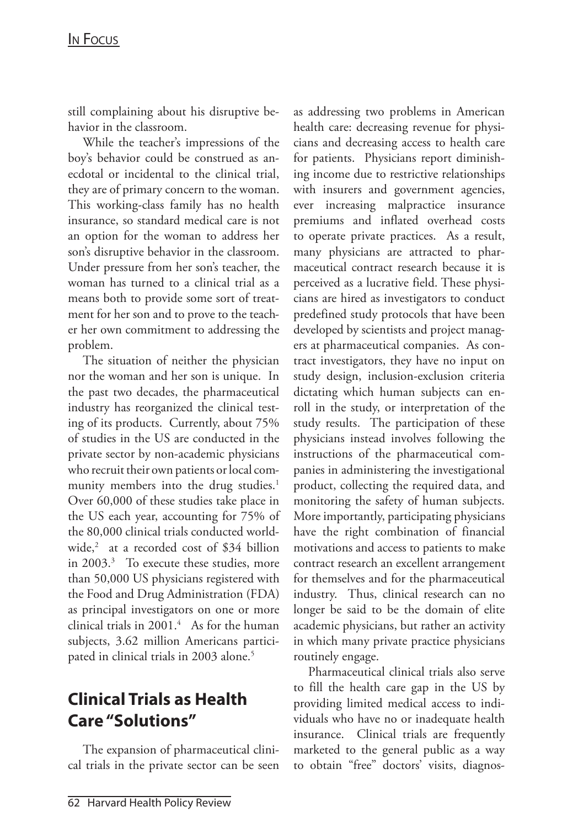#### IN FOCUS

still complaining about his disruptive behavior in the classroom.

While the teacher's impressions of the boy's behavior could be construed as anecdotal or incidental to the clinical trial, they are of primary concern to the woman. This working-class family has no health insurance, so standard medical care is not an option for the woman to address her son's disruptive behavior in the classroom. Under pressure from her son's teacher, the woman has turned to a clinical trial as a means both to provide some sort of treatment for her son and to prove to the teacher her own commitment to addressing the problem.

The situation of neither the physician nor the woman and her son is unique. In the past two decades, the pharmaceutical industry has reorganized the clinical testing of its products. Currently, about 75% of studies in the US are conducted in the private sector by non-academic physicians who recruit their own patients or local community members into the drug studies.<sup>1</sup> Over 60,000 of these studies take place in the US each year, accounting for 75% of the 80,000 clinical trials conducted worldwide,2 at a recorded cost of \$34 billion in 2003.<sup>3</sup> To execute these studies, more than 50,000 US physicians registered with the Food and Drug Administration (FDA) as principal investigators on one or more clinical trials in  $2001.<sup>4</sup>$  As for the human subjects, 3.62 million Americans participated in clinical trials in 2003 alone.<sup>5</sup>

# **Clinical Trials as Health Care "Solutions"**

The expansion of pharmaceutical clinical trials in the private sector can be seen as addressing two problems in American health care: decreasing revenue for physicians and decreasing access to health care for patients. Physicians report diminishing income due to restrictive relationships with insurers and government agencies, ever increasing malpractice insurance premiums and inflated overhead costs to operate private practices. As a result, many physicians are attracted to pharmaceutical contract research because it is perceived as a lucrative field. These physicians are hired as investigators to conduct predefined study protocols that have been developed by scientists and project managers at pharmaceutical companies. As contract investigators, they have no input on study design, inclusion-exclusion criteria dictating which human subjects can enroll in the study, or interpretation of the study results. The participation of these physicians instead involves following the instructions of the pharmaceutical companies in administering the investigational product, collecting the required data, and monitoring the safety of human subjects. More importantly, participating physicians have the right combination of financial motivations and access to patients to make contract research an excellent arrangement for themselves and for the pharmaceutical industry. Thus, clinical research can no longer be said to be the domain of elite academic physicians, but rather an activity in which many private practice physicians routinely engage.

Pharmaceutical clinical trials also serve to fill the health care gap in the US by providing limited medical access to individuals who have no or inadequate health insurance. Clinical trials are frequently marketed to the general public as a way to obtain "free" doctors' visits, diagnos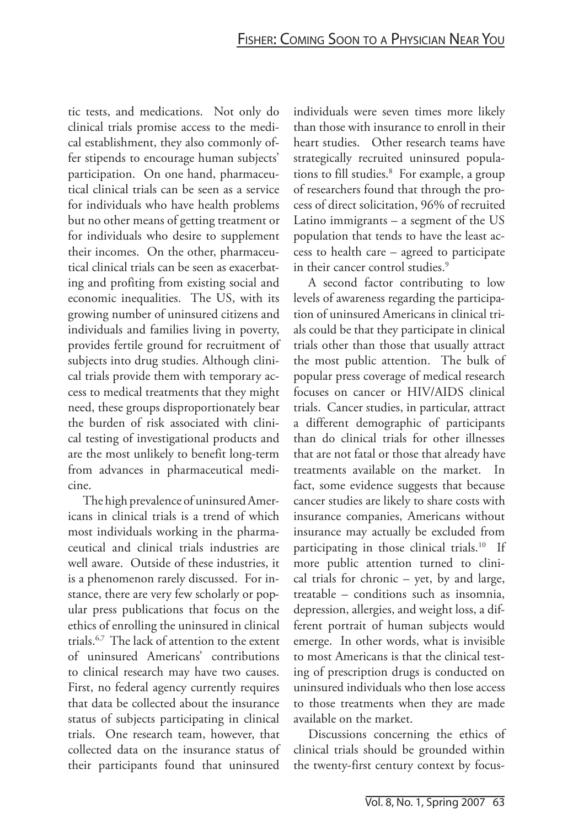tic tests, and medications. Not only do clinical trials promise access to the medical establishment, they also commonly offer stipends to encourage human subjects' participation. On one hand, pharmaceutical clinical trials can be seen as a service for individuals who have health problems but no other means of getting treatment or for individuals who desire to supplement their incomes. On the other, pharmaceutical clinical trials can be seen as exacerbating and profiting from existing social and economic inequalities. The US, with its growing number of uninsured citizens and individuals and families living in poverty, provides fertile ground for recruitment of subjects into drug studies. Although clinical trials provide them with temporary access to medical treatments that they might need, these groups disproportionately bear the burden of risk associated with clinical testing of investigational products and are the most unlikely to benefit long-term from advances in pharmaceutical medicine.

The high prevalence of uninsured Americans in clinical trials is a trend of which most individuals working in the pharmaceutical and clinical trials industries are well aware. Outside of these industries, it is a phenomenon rarely discussed. For instance, there are very few scholarly or popular press publications that focus on the ethics of enrolling the uninsured in clinical trials.6,7 The lack of attention to the extent of uninsured Americans' contributions to clinical research may have two causes. First, no federal agency currently requires that data be collected about the insurance status of subjects participating in clinical trials. One research team, however, that collected data on the insurance status of their participants found that uninsured

individuals were seven times more likely than those with insurance to enroll in their heart studies. Other research teams have strategically recruited uninsured populations to fill studies.<sup>8</sup> For example, a group of researchers found that through the process of direct solicitation, 96% of recruited Latino immigrants – a segment of the US population that tends to have the least access to health care – agreed to participate in their cancer control studies.<sup>9</sup>

A second factor contributing to low levels of awareness regarding the participation of uninsured Americans in clinical trials could be that they participate in clinical trials other than those that usually attract the most public attention. The bulk of popular press coverage of medical research focuses on cancer or HIV/AIDS clinical trials. Cancer studies, in particular, attract a different demographic of participants than do clinical trials for other illnesses that are not fatal or those that already have treatments available on the market. In fact, some evidence suggests that because cancer studies are likely to share costs with insurance companies, Americans without insurance may actually be excluded from participating in those clinical trials.<sup>10</sup> If more public attention turned to clinical trials for chronic – yet, by and large, treatable – conditions such as insomnia, depression, allergies, and weight loss, a different portrait of human subjects would emerge. In other words, what is invisible to most Americans is that the clinical testing of prescription drugs is conducted on uninsured individuals who then lose access to those treatments when they are made available on the market.

Discussions concerning the ethics of clinical trials should be grounded within the twenty-first century context by focus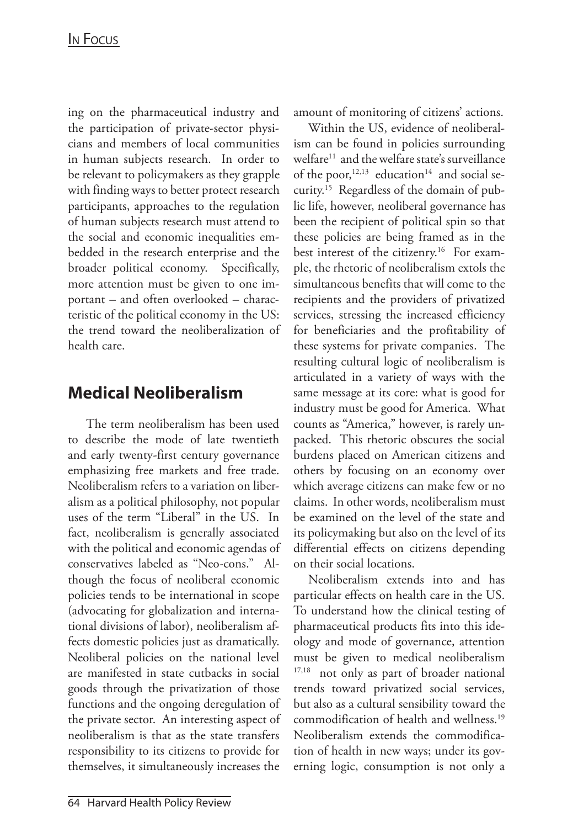ing on the pharmaceutical industry and the participation of private-sector physicians and members of local communities in human subjects research. In order to be relevant to policymakers as they grapple with finding ways to better protect research participants, approaches to the regulation of human subjects research must attend to the social and economic inequalities embedded in the research enterprise and the broader political economy. Specifically, more attention must be given to one important – and often overlooked – characteristic of the political economy in the US: the trend toward the neoliberalization of health care.

## **Medical Neoliberalism**

 The term neoliberalism has been used to describe the mode of late twentieth and early twenty-first century governance emphasizing free markets and free trade. Neoliberalism refers to a variation on liberalism as a political philosophy, not popular uses of the term "Liberal" in the US. In fact, neoliberalism is generally associated with the political and economic agendas of conservatives labeled as "Neo-cons." Although the focus of neoliberal economic policies tends to be international in scope (advocating for globalization and international divisions of labor), neoliberalism affects domestic policies just as dramatically. Neoliberal policies on the national level are manifested in state cutbacks in social goods through the privatization of those functions and the ongoing deregulation of the private sector. An interesting aspect of neoliberalism is that as the state transfers responsibility to its citizens to provide for themselves, it simultaneously increases the

amount of monitoring of citizens' actions.

Within the US, evidence of neoliberalism can be found in policies surrounding welfare<sup>11</sup> and the welfare state's surveillance of the poor,  $12,13$  education<sup>14</sup> and social security.15 Regardless of the domain of public life, however, neoliberal governance has been the recipient of political spin so that these policies are being framed as in the best interest of the citizenry.<sup>16</sup> For example, the rhetoric of neoliberalism extols the simultaneous benefits that will come to the recipients and the providers of privatized services, stressing the increased efficiency for beneficiaries and the profitability of these systems for private companies. The resulting cultural logic of neoliberalism is articulated in a variety of ways with the same message at its core: what is good for industry must be good for America. What counts as "America," however, is rarely unpacked. This rhetoric obscures the social burdens placed on American citizens and others by focusing on an economy over which average citizens can make few or no claims. In other words, neoliberalism must be examined on the level of the state and its policymaking but also on the level of its differential effects on citizens depending on their social locations.

Neoliberalism extends into and has particular effects on health care in the US. To understand how the clinical testing of pharmaceutical products fits into this ideology and mode of governance, attention must be given to medical neoliberalism <sup>17,18</sup> not only as part of broader national trends toward privatized social services, but also as a cultural sensibility toward the commodification of health and wellness.19 Neoliberalism extends the commodification of health in new ways; under its governing logic, consumption is not only a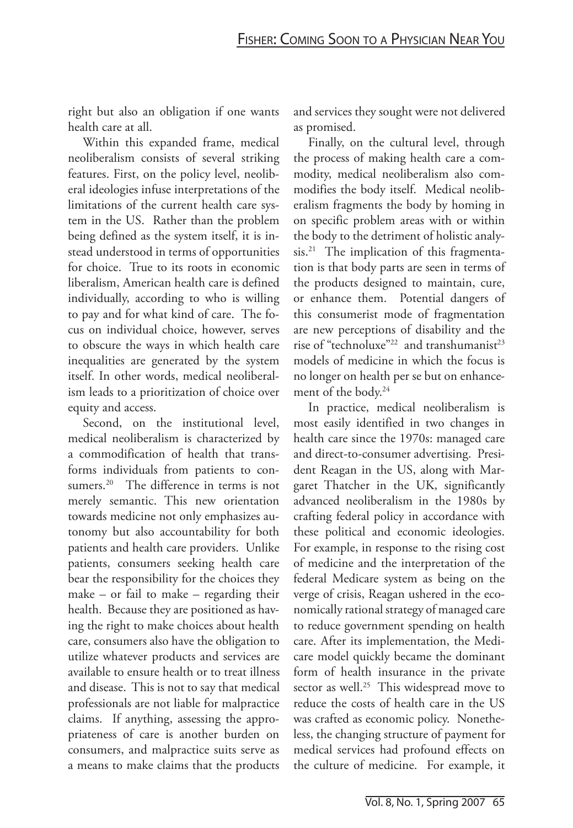right but also an obligation if one wants health care at all.

Within this expanded frame, medical neoliberalism consists of several striking features. First, on the policy level, neoliberal ideologies infuse interpretations of the limitations of the current health care system in the US. Rather than the problem being defined as the system itself, it is instead understood in terms of opportunities for choice. True to its roots in economic liberalism, American health care is defined individually, according to who is willing to pay and for what kind of care. The focus on individual choice, however, serves to obscure the ways in which health care inequalities are generated by the system itself. In other words, medical neoliberalism leads to a prioritization of choice over equity and access.

Second, on the institutional level, medical neoliberalism is characterized by a commodification of health that transforms individuals from patients to consumers.<sup>20</sup> The difference in terms is not merely semantic. This new orientation towards medicine not only emphasizes autonomy but also accountability for both patients and health care providers. Unlike patients, consumers seeking health care bear the responsibility for the choices they make – or fail to make – regarding their health. Because they are positioned as having the right to make choices about health care, consumers also have the obligation to utilize whatever products and services are available to ensure health or to treat illness and disease. This is not to say that medical professionals are not liable for malpractice claims. If anything, assessing the appropriateness of care is another burden on consumers, and malpractice suits serve as a means to make claims that the products and services they sought were not delivered as promised.

Finally, on the cultural level, through the process of making health care a commodity, medical neoliberalism also commodifies the body itself. Medical neoliberalism fragments the body by homing in on specific problem areas with or within the body to the detriment of holistic analysis.<sup>21</sup> The implication of this fragmentation is that body parts are seen in terms of the products designed to maintain, cure, or enhance them. Potential dangers of this consumerist mode of fragmentation are new perceptions of disability and the rise of "technoluxe"<sup>22</sup> and transhumanist<sup>23</sup> models of medicine in which the focus is no longer on health per se but on enhancement of the body.24

In practice, medical neoliberalism is most easily identified in two changes in health care since the 1970s: managed care and direct-to-consumer advertising. President Reagan in the US, along with Margaret Thatcher in the UK, significantly advanced neoliberalism in the 1980s by crafting federal policy in accordance with these political and economic ideologies. For example, in response to the rising cost of medicine and the interpretation of the federal Medicare system as being on the verge of crisis, Reagan ushered in the economically rational strategy of managed care to reduce government spending on health care. After its implementation, the Medicare model quickly became the dominant form of health insurance in the private sector as well.<sup>25</sup> This widespread move to reduce the costs of health care in the US was crafted as economic policy. Nonetheless, the changing structure of payment for medical services had profound effects on the culture of medicine. For example, it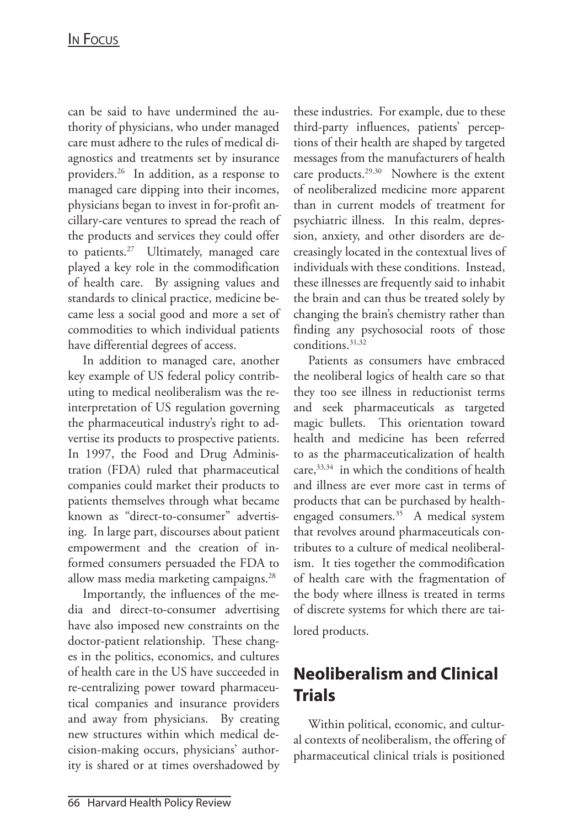can be said to have undermined the authority of physicians, who under managed care must adhere to the rules of medical diagnostics and treatments set by insurance providers.26 In addition, as a response to managed care dipping into their incomes, physicians began to invest in for-profit ancillary-care ventures to spread the reach of the products and services they could offer to patients. $27$  Ultimately, managed care played a key role in the commodification of health care. By assigning values and standards to clinical practice, medicine became less a social good and more a set of commodities to which individual patients have differential degrees of access.

In addition to managed care, another key example of US federal policy contributing to medical neoliberalism was the reinterpretation of US regulation governing the pharmaceutical industry's right to advertise its products to prospective patients. In 1997, the Food and Drug Administration (FDA) ruled that pharmaceutical companies could market their products to patients themselves through what became known as "direct-to-consumer" advertising. In large part, discourses about patient empowerment and the creation of informed consumers persuaded the FDA to allow mass media marketing campaigns.28

Importantly, the influences of the media and direct-to-consumer advertising have also imposed new constraints on the doctor-patient relationship. These changes in the politics, economics, and cultures of health care in the US have succeeded in re-centralizing power toward pharmaceutical companies and insurance providers and away from physicians. By creating new structures within which medical decision-making occurs, physicians' authority is shared or at times overshadowed by these industries. For example, due to these third-party influences, patients' perceptions of their health are shaped by targeted messages from the manufacturers of health care products.<sup>29,30</sup> Nowhere is the extent of neoliberalized medicine more apparent than in current models of treatment for psychiatric illness. In this realm, depression, anxiety, and other disorders are decreasingly located in the contextual lives of individuals with these conditions. Instead, these illnesses are frequently said to inhabit the brain and can thus be treated solely by changing the brain's chemistry rather than finding any psychosocial roots of those conditions.31,32

Patients as consumers have embraced the neoliberal logics of health care so that they too see illness in reductionist terms and seek pharmaceuticals as targeted magic bullets. This orientation toward health and medicine has been referred to as the pharmaceuticalization of health care,33,34 in which the conditions of health and illness are ever more cast in terms of products that can be purchased by healthengaged consumers.35 A medical system that revolves around pharmaceuticals contributes to a culture of medical neoliberalism. It ties together the commodification of health care with the fragmentation of the body where illness is treated in terms of discrete systems for which there are tailored products.

# **Neoliberalism and Clinical Trials**

Within political, economic, and cultural contexts of neoliberalism, the offering of pharmaceutical clinical trials is positioned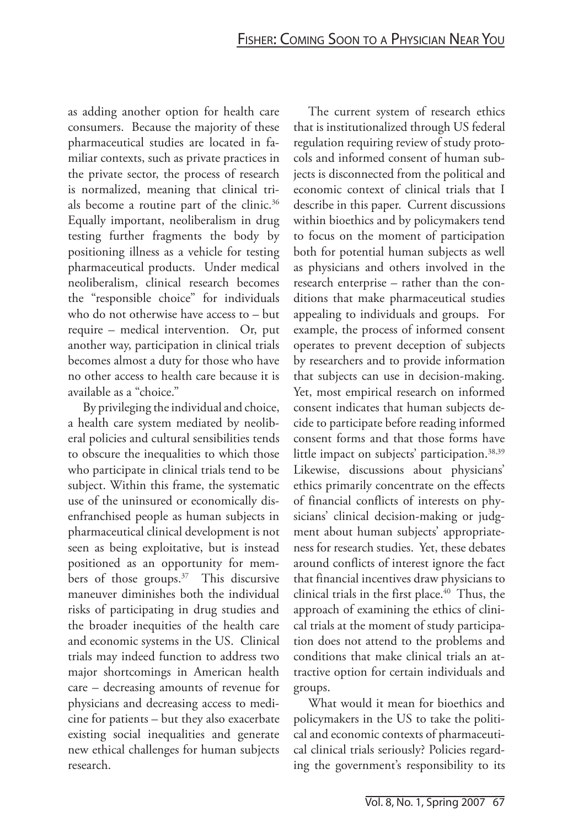as adding another option for health care consumers. Because the majority of these pharmaceutical studies are located in familiar contexts, such as private practices in the private sector, the process of research is normalized, meaning that clinical trials become a routine part of the clinic.36 Equally important, neoliberalism in drug testing further fragments the body by positioning illness as a vehicle for testing pharmaceutical products. Under medical neoliberalism, clinical research becomes the "responsible choice" for individuals who do not otherwise have access to – but require – medical intervention. Or, put another way, participation in clinical trials becomes almost a duty for those who have no other access to health care because it is available as a "choice."

By privileging the individual and choice, a health care system mediated by neoliberal policies and cultural sensibilities tends to obscure the inequalities to which those who participate in clinical trials tend to be subject. Within this frame, the systematic use of the uninsured or economically disenfranchised people as human subjects in pharmaceutical clinical development is not seen as being exploitative, but is instead positioned as an opportunity for members of those groups.<sup>37</sup> This discursive maneuver diminishes both the individual risks of participating in drug studies and the broader inequities of the health care and economic systems in the US. Clinical trials may indeed function to address two major shortcomings in American health care – decreasing amounts of revenue for physicians and decreasing access to medicine for patients – but they also exacerbate existing social inequalities and generate new ethical challenges for human subjects research.

The current system of research ethics that is institutionalized through US federal regulation requiring review of study protocols and informed consent of human subjects is disconnected from the political and economic context of clinical trials that I describe in this paper. Current discussions within bioethics and by policymakers tend to focus on the moment of participation both for potential human subjects as well as physicians and others involved in the research enterprise – rather than the conditions that make pharmaceutical studies appealing to individuals and groups. For example, the process of informed consent operates to prevent deception of subjects by researchers and to provide information that subjects can use in decision-making. Yet, most empirical research on informed consent indicates that human subjects decide to participate before reading informed consent forms and that those forms have little impact on subjects' participation.<sup>38,39</sup> Likewise, discussions about physicians' ethics primarily concentrate on the effects of financial conflicts of interests on physicians' clinical decision-making or judgment about human subjects' appropriateness for research studies. Yet, these debates around conflicts of interest ignore the fact that financial incentives draw physicians to clinical trials in the first place.<sup>40</sup> Thus, the approach of examining the ethics of clinical trials at the moment of study participation does not attend to the problems and conditions that make clinical trials an attractive option for certain individuals and groups.

What would it mean for bioethics and policymakers in the US to take the political and economic contexts of pharmaceutical clinical trials seriously? Policies regarding the government's responsibility to its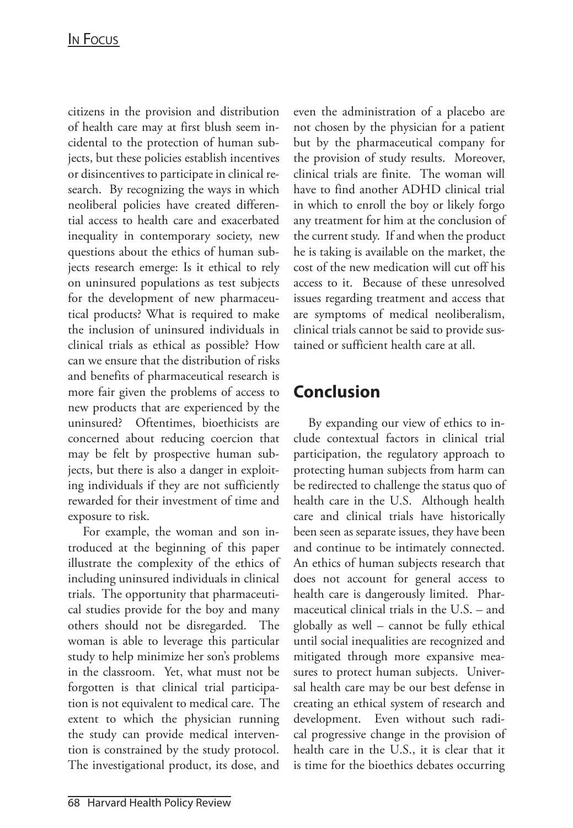#### IN FOCUS

citizens in the provision and distribution of health care may at first blush seem incidental to the protection of human subjects, but these policies establish incentives or disincentives to participate in clinical research. By recognizing the ways in which neoliberal policies have created differential access to health care and exacerbated inequality in contemporary society, new questions about the ethics of human subjects research emerge: Is it ethical to rely on uninsured populations as test subjects for the development of new pharmaceutical products? What is required to make the inclusion of uninsured individuals in clinical trials as ethical as possible? How can we ensure that the distribution of risks and benefits of pharmaceutical research is more fair given the problems of access to new products that are experienced by the uninsured? Oftentimes, bioethicists are concerned about reducing coercion that may be felt by prospective human subjects, but there is also a danger in exploiting individuals if they are not sufficiently rewarded for their investment of time and exposure to risk.

For example, the woman and son introduced at the beginning of this paper illustrate the complexity of the ethics of including uninsured individuals in clinical trials. The opportunity that pharmaceutical studies provide for the boy and many others should not be disregarded. The woman is able to leverage this particular study to help minimize her son's problems in the classroom. Yet, what must not be forgotten is that clinical trial participation is not equivalent to medical care. The extent to which the physician running the study can provide medical intervention is constrained by the study protocol. The investigational product, its dose, and

even the administration of a placebo are not chosen by the physician for a patient but by the pharmaceutical company for the provision of study results. Moreover, clinical trials are finite. The woman will have to find another ADHD clinical trial in which to enroll the boy or likely forgo any treatment for him at the conclusion of the current study. If and when the product he is taking is available on the market, the cost of the new medication will cut off his access to it. Because of these unresolved issues regarding treatment and access that are symptoms of medical neoliberalism, clinical trials cannot be said to provide sustained or sufficient health care at all.

## **Conclusion**

By expanding our view of ethics to include contextual factors in clinical trial participation, the regulatory approach to protecting human subjects from harm can be redirected to challenge the status quo of health care in the U.S. Although health care and clinical trials have historically been seen as separate issues, they have been and continue to be intimately connected. An ethics of human subjects research that does not account for general access to health care is dangerously limited. Pharmaceutical clinical trials in the U.S. – and globally as well – cannot be fully ethical until social inequalities are recognized and mitigated through more expansive measures to protect human subjects. Universal health care may be our best defense in creating an ethical system of research and development. Even without such radical progressive change in the provision of health care in the U.S., it is clear that it is time for the bioethics debates occurring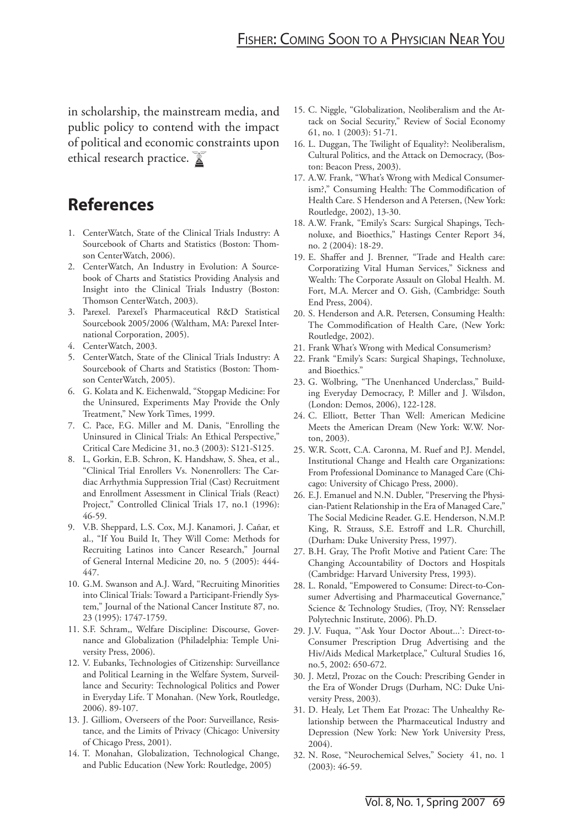in scholarship, the mainstream media, and public policy to contend with the impact of political and economic constraints upon ethical research practice.

### **References**

- 1. CenterWatch, State of the Clinical Trials Industry: A Sourcebook of Charts and Statistics (Boston: Thomson CenterWatch, 2006).
- 2. CenterWatch, An Industry in Evolution: A Sourcebook of Charts and Statistics Providing Analysis and Insight into the Clinical Trials Industry (Boston: Thomson CenterWatch, 2003).
- Parexel. Parexel's Pharmaceutical R&D Statistical 3. Sourcebook 2005/2006 (Waltham, MA: Parexel International Corporation, 2005).
- CenterWatch, 2003. 4.
- 5. CenterWatch, State of the Clinical Trials Industry: A Sourcebook of Charts and Statistics (Boston: Thomson CenterWatch, 2005).
- G. Kolata and K. Eichenwald, "Stopgap Medicine: For 6. the Uninsured, Experiments May Provide the Only Treatment," New York Times, 1999.
- C. Pace, F.G. Miller and M. Danis, "Enrolling the 7. Uninsured in Clinical Trials: An Ethical Perspective," Critical Care Medicine 31, no.3 (2003): S121-S125.
- L, Gorkin, E.B. Schron, K. Handshaw, S. Shea, et al., 8. "Clinical Trial Enrollers Vs. Nonenrollers: The Cardiac Arrhythmia Suppression Trial (Cast) Recruitment and Enrollment Assessment in Clinical Trials (React) Project," Controlled Clinical Trials 17, no.1 (1996): 46-59.
- V.B. Sheppard, L.S. Cox, M.J. Kanamori, J. Cañar, et 9. al., "If You Build It, They Will Come: Methods for Recruiting Latinos into Cancer Research," Journal of General Internal Medicine 20, no. 5 (2005): 444- 447.
- 10. G.M. Swanson and A.J. Ward, "Recruiting Minorities into Clinical Trials: Toward a Participant-Friendly System," Journal of the National Cancer Institute 87, no. 23 (1995): 1747-1759.
- 11. S.F. Schram,, Welfare Discipline: Discourse, Governance and Globalization (Philadelphia: Temple University Press, 2006).
- 12. V. Eubanks, Technologies of Citizenship: Surveillance and Political Learning in the Welfare System, Surveillance and Security: Technological Politics and Power in Everyday Life. T Monahan. (New York, Routledge, 2006). 89-107.
- 13. J. Gilliom, Overseers of the Poor: Surveillance, Resistance, and the Limits of Privacy (Chicago: University of Chicago Press, 2001).
- 14. T. Monahan, Globalization, Technological Change, and Public Education (New York: Routledge, 2005)
- 15. C. Niggle, "Globalization, Neoliberalism and the Attack on Social Security," Review of Social Economy 61, no. 1 (2003): 51-71.
- 16. L. Duggan, The Twilight of Equality?: Neoliberalism, Cultural Politics, and the Attack on Democracy, (Boston: Beacon Press, 2003).
- 17. A.W. Frank, "What's Wrong with Medical Consumerism?," Consuming Health: The Commodification of Health Care. S Henderson and A Petersen, (New York: Routledge, 2002), 13-30.
- A.W. Frank, "Emily's Scars: Surgical Shapings, Tech-18. noluxe, and Bioethics," Hastings Center Report 34, no. 2 (2004): 18-29.
- E. Shaffer and J. Brenner, "Trade and Health care: 19. Corporatizing Vital Human Services," Sickness and Wealth: The Corporate Assault on Global Health. M. Fort, M.A. Mercer and O. Gish, (Cambridge: South End Press, 2004).
- 20. S. Henderson and A.R. Petersen, Consuming Health: The Commodification of Health Care, (New York: Routledge, 2002).
- 21. Frank What's Wrong with Medical Consumerism?
- 22. Frank "Emily's Scars: Surgical Shapings, Technoluxe, and Bioethics."
- 23. G. Wolbring, "The Unenhanced Underclass," Building Everyday Democracy, P. Miller and J. Wilsdon, (London: Demos, 2006), 122-128.
- 24. C. Elliott, Better Than Well: American Medicine Meets the American Dream (New York: W.W. Norton, 2003).
- W.R. Scott, C.A. Caronna, M. Ruef and P.J. Mendel, 25. Institutional Change and Health care Organizations: From Professional Dominance to Managed Care (Chicago: University of Chicago Press, 2000).
- E.J. Emanuel and N.N. Dubler, "Preserving the Physi-26. cian-Patient Relationship in the Era of Managed Care," The Social Medicine Reader. G.E. Henderson, N.M.P. King, R. Strauss, S.E. Estroff and L.R. Churchill, (Durham: Duke University Press, 1997).
- 27. B.H. Gray, The Profit Motive and Patient Care: The Changing Accountability of Doctors and Hospitals (Cambridge: Harvard University Press, 1993).
- L. Ronald, "Empowered to Consume: Direct-to-Con-28. sumer Advertising and Pharmaceutical Governance," Science & Technology Studies, (Troy, NY: Rensselaer Polytechnic Institute, 2006). Ph.D.
- 29. J.V. Fuqua, "`Ask Your Doctor About...': Direct-to-Consumer Prescription Drug Advertising and the Hiv/Aids Medical Marketplace," Cultural Studies 16, no.5, 2002: 650-672.
- 30. J. Metzl, Prozac on the Couch: Prescribing Gender in the Era of Wonder Drugs (Durham, NC: Duke University Press, 2003).
- D. Healy, Let Them Eat Prozac: The Unhealthy Re-31. lationship between the Pharmaceutical Industry and Depression (New York: New York University Press, 2004).
- N. Rose, "Neurochemical Selves," Society 41, no. 1 32.(2003): 46-59.